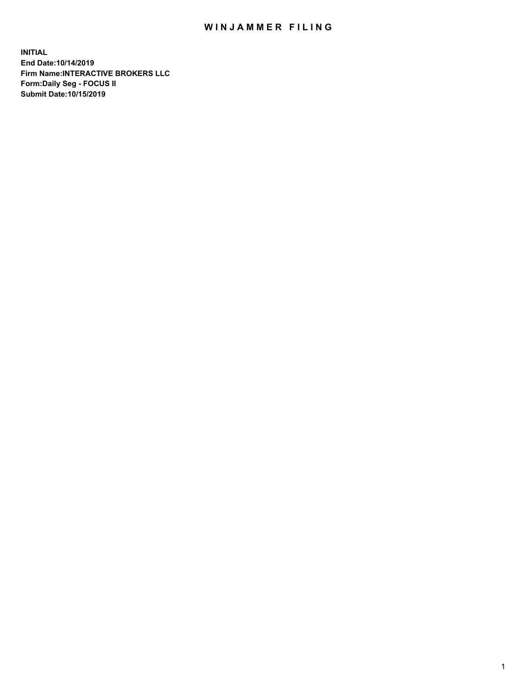## WIN JAMMER FILING

**INITIAL End Date:10/14/2019 Firm Name:INTERACTIVE BROKERS LLC Form:Daily Seg - FOCUS II Submit Date:10/15/2019**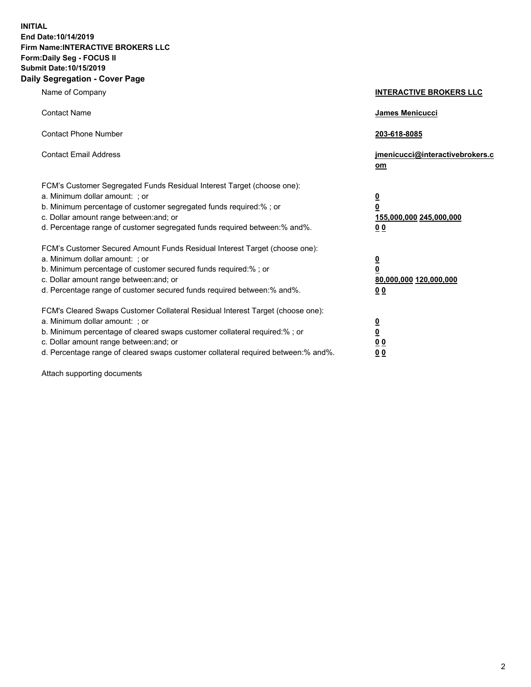**INITIAL End Date:10/14/2019 Firm Name:INTERACTIVE BROKERS LLC Form:Daily Seg - FOCUS II Submit Date:10/15/2019 Daily Segregation - Cover Page**

| Name of Company                                                                                                                                                                                                                                                                                                                | <b>INTERACTIVE BROKERS LLC</b>                                                                  |
|--------------------------------------------------------------------------------------------------------------------------------------------------------------------------------------------------------------------------------------------------------------------------------------------------------------------------------|-------------------------------------------------------------------------------------------------|
| <b>Contact Name</b>                                                                                                                                                                                                                                                                                                            | <b>James Menicucci</b>                                                                          |
| <b>Contact Phone Number</b>                                                                                                                                                                                                                                                                                                    | 203-618-8085                                                                                    |
| <b>Contact Email Address</b>                                                                                                                                                                                                                                                                                                   | jmenicucci@interactivebrokers.c<br>$om$                                                         |
| FCM's Customer Segregated Funds Residual Interest Target (choose one):<br>a. Minimum dollar amount: ; or<br>b. Minimum percentage of customer segregated funds required:% ; or<br>c. Dollar amount range between: and; or<br>d. Percentage range of customer segregated funds required between:% and%.                         | $\overline{\mathbf{0}}$<br>$\overline{\mathbf{0}}$<br>155,000,000 245,000,000<br>0 <sub>0</sub> |
| FCM's Customer Secured Amount Funds Residual Interest Target (choose one):<br>a. Minimum dollar amount: ; or<br>b. Minimum percentage of customer secured funds required:%; or<br>c. Dollar amount range between: and; or<br>d. Percentage range of customer secured funds required between:% and%.                            | $\overline{\mathbf{0}}$<br>$\overline{\mathbf{0}}$<br>80,000,000 120,000,000<br>0 <sub>0</sub>  |
| FCM's Cleared Swaps Customer Collateral Residual Interest Target (choose one):<br>a. Minimum dollar amount: ; or<br>b. Minimum percentage of cleared swaps customer collateral required:% ; or<br>c. Dollar amount range between: and; or<br>d. Percentage range of cleared swaps customer collateral required between:% and%. | $\overline{\mathbf{0}}$<br>$\underline{\mathbf{0}}$<br>0 <sub>0</sub><br>00                     |

Attach supporting documents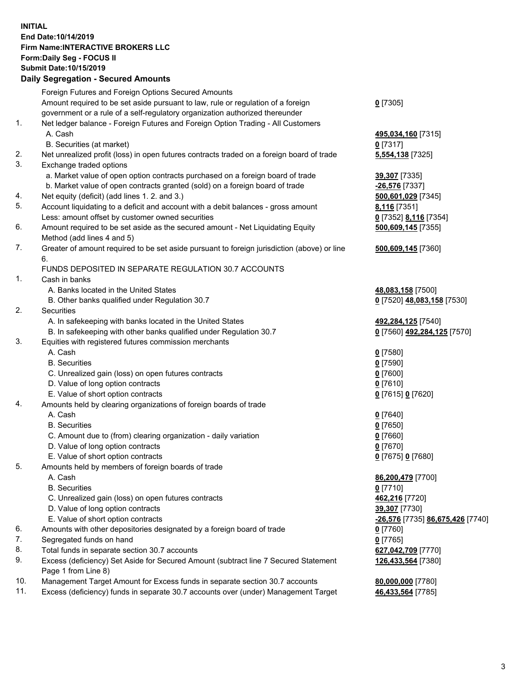## **INITIAL End Date:10/14/2019 Firm Name:INTERACTIVE BROKERS LLC Form:Daily Seg - FOCUS II Submit Date:10/15/2019 Daily Segregation - Secured Amounts**

|     | Daily Segregation - Secured Amounts                                                         |                                  |
|-----|---------------------------------------------------------------------------------------------|----------------------------------|
|     | Foreign Futures and Foreign Options Secured Amounts                                         |                                  |
|     | Amount required to be set aside pursuant to law, rule or regulation of a foreign            | $0$ [7305]                       |
|     | government or a rule of a self-regulatory organization authorized thereunder                |                                  |
| 1.  | Net ledger balance - Foreign Futures and Foreign Option Trading - All Customers             |                                  |
|     | A. Cash                                                                                     | 495,034,160 [7315]               |
|     | B. Securities (at market)                                                                   | $0$ [7317]                       |
| 2.  | Net unrealized profit (loss) in open futures contracts traded on a foreign board of trade   | 5,554,138 [7325]                 |
| 3.  | Exchange traded options                                                                     |                                  |
|     | a. Market value of open option contracts purchased on a foreign board of trade              | 39,307 [7335]                    |
|     | b. Market value of open contracts granted (sold) on a foreign board of trade                | -26,576 [7337]                   |
| 4.  | Net equity (deficit) (add lines 1.2. and 3.)                                                | 500,601,029 [7345]               |
| 5.  | Account liquidating to a deficit and account with a debit balances - gross amount           | 8,116 [7351]                     |
|     | Less: amount offset by customer owned securities                                            | 0 [7352] 8,116 [7354]            |
| 6.  | Amount required to be set aside as the secured amount - Net Liquidating Equity              | 500,609,145 [7355]               |
|     | Method (add lines 4 and 5)                                                                  |                                  |
| 7.  | Greater of amount required to be set aside pursuant to foreign jurisdiction (above) or line | 500,609,145 [7360]               |
|     | 6.                                                                                          |                                  |
|     | FUNDS DEPOSITED IN SEPARATE REGULATION 30.7 ACCOUNTS                                        |                                  |
| 1.  | Cash in banks                                                                               |                                  |
|     | A. Banks located in the United States                                                       | 48,083,158 [7500]                |
|     | B. Other banks qualified under Regulation 30.7                                              | 0 [7520] 48,083,158 [7530]       |
| 2.  | Securities                                                                                  |                                  |
|     | A. In safekeeping with banks located in the United States                                   | 492,284,125 [7540]               |
|     | B. In safekeeping with other banks qualified under Regulation 30.7                          | 0 [7560] 492,284,125 [7570]      |
| 3.  | Equities with registered futures commission merchants                                       |                                  |
|     | A. Cash                                                                                     | $0$ [7580]                       |
|     | <b>B.</b> Securities                                                                        | $0$ [7590]                       |
|     | C. Unrealized gain (loss) on open futures contracts                                         | $0$ [7600]                       |
|     | D. Value of long option contracts                                                           | $0$ [7610]                       |
|     | E. Value of short option contracts                                                          | 0 [7615] 0 [7620]                |
| 4.  | Amounts held by clearing organizations of foreign boards of trade                           |                                  |
|     | A. Cash                                                                                     |                                  |
|     | <b>B.</b> Securities                                                                        | $0$ [7640]                       |
|     |                                                                                             | $0$ [7650]                       |
|     | C. Amount due to (from) clearing organization - daily variation                             | $0$ [7660]                       |
|     | D. Value of long option contracts                                                           | $0$ [7670]                       |
|     | E. Value of short option contracts                                                          | 0 [7675] 0 [7680]                |
| 5.  | Amounts held by members of foreign boards of trade                                          |                                  |
|     | A. Cash                                                                                     | 86,200,479 [7700]                |
|     | <b>B.</b> Securities                                                                        | $0$ [7710]                       |
|     | C. Unrealized gain (loss) on open futures contracts                                         | 462,216 [7720]                   |
|     | D. Value of long option contracts                                                           | 39,307 [7730]                    |
|     | E. Value of short option contracts                                                          | -26,576 [7735] 86,675,426 [7740] |
| 6.  | Amounts with other depositories designated by a foreign board of trade                      | 0 [7760]                         |
| 7.  | Segregated funds on hand                                                                    | $0$ [7765]                       |
| 8.  | Total funds in separate section 30.7 accounts                                               | 627,042,709 [7770]               |
| 9.  | Excess (deficiency) Set Aside for Secured Amount (subtract line 7 Secured Statement         | 126,433,564 [7380]               |
|     | Page 1 from Line 8)                                                                         |                                  |
| 10. | Management Target Amount for Excess funds in separate section 30.7 accounts                 | 80,000,000 [7780]                |
| 11. | Excess (deficiency) funds in separate 30.7 accounts over (under) Management Target          | 46,433,564 [7785]                |
|     |                                                                                             |                                  |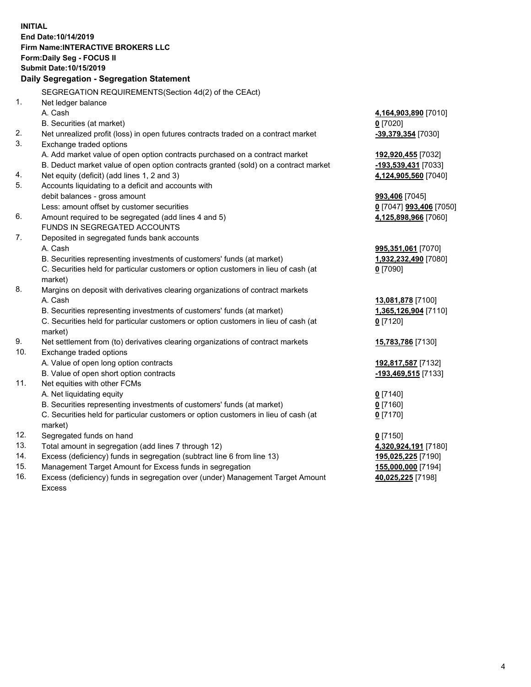**INITIAL End Date:10/14/2019 Firm Name:INTERACTIVE BROKERS LLC Form:Daily Seg - FOCUS II Submit Date:10/15/2019 Daily Segregation - Segregation Statement** SEGREGATION REQUIREMENTS(Section 4d(2) of the CEAct) 1. Net ledger balance A. Cash **4,164,903,890** [7010] B. Securities (at market) **0** [7020] 2. Net unrealized profit (loss) in open futures contracts traded on a contract market **-39,379,354** [7030] 3. Exchange traded options A. Add market value of open option contracts purchased on a contract market **192,920,455** [7032] B. Deduct market value of open option contracts granted (sold) on a contract market **-193,539,431** [7033] 4. Net equity (deficit) (add lines 1, 2 and 3) **4,124,905,560** [7040] 5. Accounts liquidating to a deficit and accounts with debit balances - gross amount **993,406** [7045] Less: amount offset by customer securities **0** [7047] **993,406** [7050] 6. Amount required to be segregated (add lines 4 and 5) **4,125,898,966** [7060] FUNDS IN SEGREGATED ACCOUNTS 7. Deposited in segregated funds bank accounts A. Cash **995,351,061** [7070] B. Securities representing investments of customers' funds (at market) **1,932,232,490** [7080] C. Securities held for particular customers or option customers in lieu of cash (at market) **0** [7090] 8. Margins on deposit with derivatives clearing organizations of contract markets A. Cash **13,081,878** [7100] B. Securities representing investments of customers' funds (at market) **1,365,126,904** [7110] C. Securities held for particular customers or option customers in lieu of cash (at market) **0** [7120] 9. Net settlement from (to) derivatives clearing organizations of contract markets **15,783,786** [7130] 10. Exchange traded options A. Value of open long option contracts **192,817,587** [7132] B. Value of open short option contracts **-193,469,515** [7133] 11. Net equities with other FCMs A. Net liquidating equity **0** [7140] B. Securities representing investments of customers' funds (at market) **0** [7160] C. Securities held for particular customers or option customers in lieu of cash (at market) **0** [7170] 12. Segregated funds on hand **0** [7150] 13. Total amount in segregation (add lines 7 through 12) **4,320,924,191** [7180] 14. Excess (deficiency) funds in segregation (subtract line 6 from line 13) **195,025,225** [7190] 15. Management Target Amount for Excess funds in segregation **155,000,000** [7194] 16. Excess (deficiency) funds in segregation over (under) Management Target Amount **40,025,225** [7198]

Excess